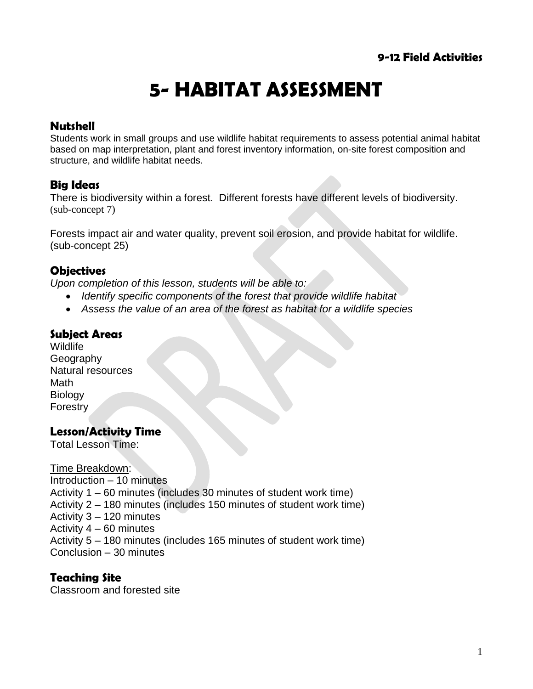# **5- HABITAT ASSESSMENT**

### **Nutshell**

Students work in small groups and use wildlife [habitat requirements](http://dnr.wi.gov/org/land/wildlife/publ/wildland.htm) to assess potential animal habitat based on map interpretation, plant and forest inventory information, on-site forest composition and structure, and wildlife habitat needs.

## **Big Ideas**

There is biodiversity within a forest. Different forests have different levels of biodiversity. (sub-concept 7)

Forests impact air and water quality, prevent soil erosion, and provide habitat for wildlife. (sub-concept 25)

#### **Objectives**

*Upon completion of this lesson, students will be able to:*

- *Identify specific components of the forest that provide wildlife habitat*
- *Assess the value of an area of the forest as habitat for a wildlife species*

### **Subject Areas**

**Wildlife** Geography Natural resources Math **Biology Forestry** 

#### **Lesson/Activity Time**

Total Lesson Time:

Time Breakdown: Introduction – 10 minutes Activity 1 – 60 minutes (includes 30 minutes of student work time) Activity 2 – 180 minutes (includes 150 minutes of student work time) Activity 3 – 120 minutes Activity 4 – 60 minutes Activity 5 – 180 minutes (includes 165 minutes of student work time) Conclusion – 30 minutes

#### **Teaching Site**

Classroom and forested site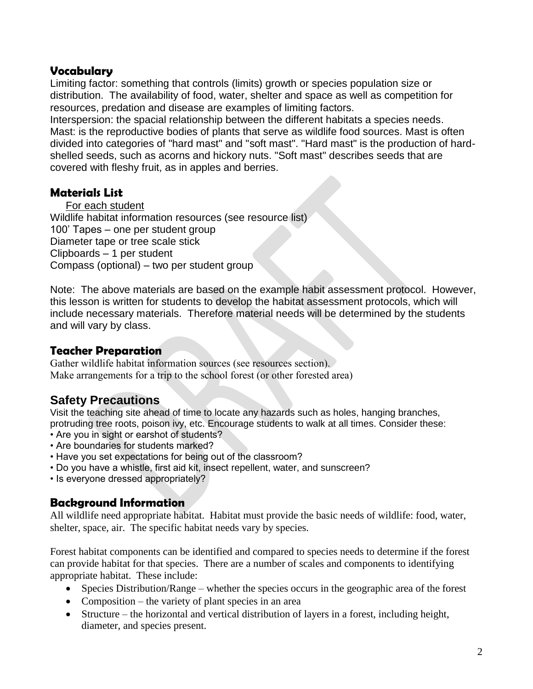#### **Vocabulary**

Limiting factor: something that controls (limits) growth or species population size or distribution. The availability of food, water, shelter and space as well as competition for resources, predation and disease are examples of limiting factors.

Interspersion: the spacial relationship between the different habitats a species needs. Mast: is the reproductive bodies of plants that serve as wildlife food sources. Mast is often divided into categories of "hard mast" and "soft mast". "Hard mast" is the production of hardshelled seeds, such as acorns and hickory nuts. "Soft mast" describes seeds that are covered with fleshy fruit, as in apples and berries.

#### **Materials List**

For each student

Wildlife habitat information resources (see resource list) 100' Tapes – one per student group Diameter tape or tree scale stick Clipboards – 1 per student Compass (optional) – two per student group

Note: The above materials are based on the example habit assessment protocol. However, this lesson is written for students to develop the habitat assessment protocols, which will include necessary materials. Therefore material needs will be determined by the students and will vary by class.

### **Teacher Preparation**

Gather wildlife habitat information sources (see resources section). Make arrangements for a trip to the school forest (or other forested area)

## **Safety Precautions**

Visit the teaching site ahead of time to locate any hazards such as holes, hanging branches, protruding tree roots, poison ivy, etc. Encourage students to walk at all times. Consider these:

- Are you in sight or earshot of students?
- Are boundaries for students marked?
- Have you set expectations for being out of the classroom?
- Do you have a whistle, first aid kit, insect repellent, water, and sunscreen?
- Is everyone dressed appropriately?

#### **Background Information**

All wildlife need appropriate habitat. Habitat must provide the basic needs of wildlife: food, water, shelter, space, air. The specific habitat needs vary by species.

Forest habitat components can be identified and compared to species needs to determine if the forest can provide habitat for that species. There are a number of scales and components to identifying appropriate habitat. These include:

- Species Distribution/Range whether the species occurs in the geographic area of the forest
- Composition the variety of plant species in an area
- Structure the horizontal and vertical distribution of layers in a forest, including height, diameter, and species present.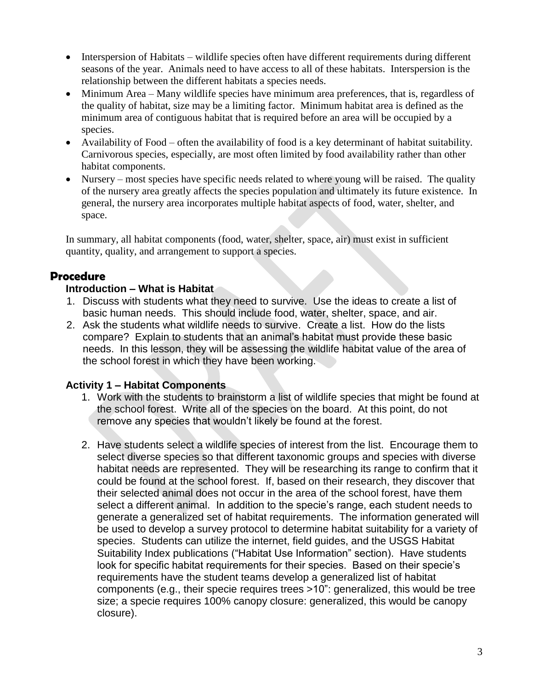- Interspersion of Habitats wildlife species often have different requirements during different seasons of the year. Animals need to have access to all of these habitats. Interspersion is the relationship between the different habitats a species needs.
- Minimum Area Many wildlife species have minimum area preferences, that is, regardless of the quality of habitat, size may be a limiting factor. Minimum habitat area is defined as the minimum area of contiguous habitat that is required before an area will be occupied by a species.
- Availability of Food often the availability of food is a key determinant of habitat suitability. Carnivorous species, especially, are most often limited by food availability rather than other habitat components.
- Nursery most species have specific needs related to where young will be raised. The quality of the nursery area greatly affects the species population and ultimately its future existence. In general, the nursery area incorporates multiple habitat aspects of food, water, shelter, and space.

In summary, all habitat components (food, water, shelter, space, air) must exist in sufficient quantity, quality, and arrangement to support a species.

#### **Procedure**

#### **Introduction – What is Habitat**

- 1. Discuss with students what they need to survive. Use the ideas to create a list of basic human needs. This should include food, water, shelter, space, and air.
- 2. Ask the students what wildlife needs to survive. Create a list. How do the lists compare? Explain to students that an animal's habitat must provide these basic needs. In this lesson, they will be assessing the wildlife habitat value of the area of the school forest in which they have been working.

#### **Activity 1 – Habitat Components**

- 1. Work with the students to brainstorm a list of wildlife species that might be found at the school forest. Write all of the species on the board. At this point, do not remove any species that wouldn't likely be found at the forest.
- 2. Have students select a wildlife species of interest from the list. Encourage them to select diverse species so that different taxonomic groups and species with diverse habitat needs are represented. They will be researching its range to confirm that it could be found at the school forest. If, based on their research, they discover that their selected animal does not occur in the area of the school forest, have them select a different animal. In addition to the specie's range, each student needs to generate a generalized set of habitat requirements. The information generated will be used to develop a survey protocol to determine habitat suitability for a variety of species. Students can utilize the internet, field guides, and the USGS Habitat Suitability Index publications ("Habitat Use Information" section). Have students look for specific habitat requirements for their species. Based on their specie's requirements have the student teams develop a generalized list of habitat components (e.g., their specie requires trees >10": generalized, this would be tree size; a specie requires 100% canopy closure: generalized, this would be canopy closure).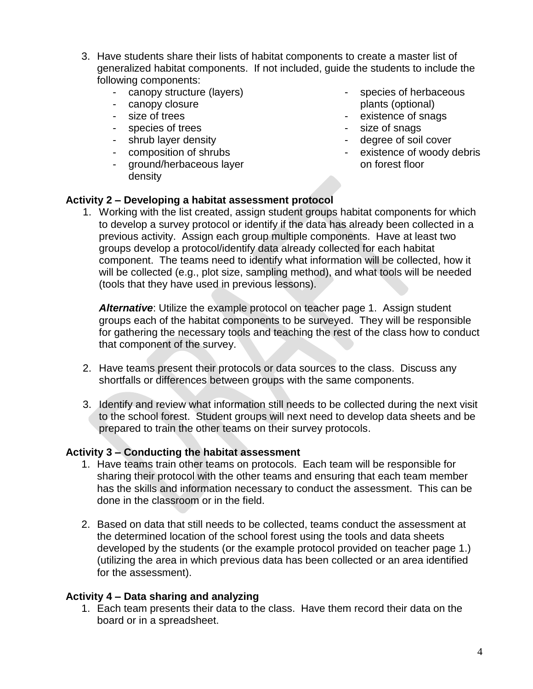- 3. Have students share their lists of habitat components to create a master list of generalized habitat components. If not included, guide the students to include the following components:
	- canopy structure (layers)
	- canopy closure
	- size of trees
	- species of trees
	- shrub layer density
	- composition of shrubs
	- ground/herbaceous layer density
- species of herbaceous plants (optional)
- existence of snags
- size of snags
- degree of soil cover
- existence of woody debris on forest floor

#### **Activity 2 – Developing a habitat assessment protocol**

1. Working with the list created, assign student groups habitat components for which to develop a survey protocol or identify if the data has already been collected in a previous activity. Assign each group multiple components. Have at least two groups develop a protocol/identify data already collected for each habitat component. The teams need to identify what information will be collected, how it will be collected (e.g., plot size, sampling method), and what tools will be needed (tools that they have used in previous lessons).

*Alternative*: Utilize the example protocol on teacher page 1. Assign student groups each of the habitat components to be surveyed. They will be responsible for gathering the necessary tools and teaching the rest of the class how to conduct that component of the survey.

- 2. Have teams present their protocols or data sources to the class. Discuss any shortfalls or differences between groups with the same components.
- 3. Identify and review what information still needs to be collected during the next visit to the school forest. Student groups will next need to develop data sheets and be prepared to train the other teams on their survey protocols.

#### **Activity 3 – Conducting the habitat assessment**

- 1. Have teams train other teams on protocols. Each team will be responsible for sharing their protocol with the other teams and ensuring that each team member has the skills and information necessary to conduct the assessment. This can be done in the classroom or in the field.
- 2. Based on data that still needs to be collected, teams conduct the assessment at the determined location of the school forest using the tools and data sheets developed by the students (or the example protocol provided on teacher page 1.) (utilizing the area in which previous data has been collected or an area identified for the assessment).

#### **Activity 4 – Data sharing and analyzing**

1. Each team presents their data to the class. Have them record their data on the board or in a spreadsheet.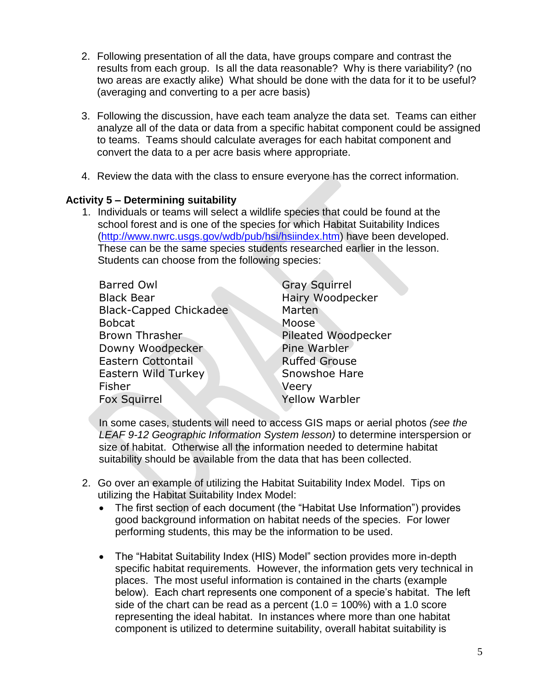- 2. Following presentation of all the data, have groups compare and contrast the results from each group. Is all the data reasonable? Why is there variability? (no two areas are exactly alike) What should be done with the data for it to be useful? (averaging and converting to a per acre basis)
- 3. Following the discussion, have each team analyze the data set. Teams can either analyze all of the data or data from a specific habitat component could be assigned to teams. Teams should calculate averages for each habitat component and convert the data to a per acre basis where appropriate.
- 4. Review the data with the class to ensure everyone has the correct information.

#### **Activity 5 – Determining suitability**

1. Individuals or teams will select a wildlife species that could be found at the school forest and is one of the species for which Habitat Suitability Indices [\(http://www.nwrc.usgs.gov/wdb/pub/hsi/hsiindex.htm\)](http://www.nwrc.usgs.gov/wdb/pub/hsi/hsiindex.htm) have been developed. These can be the same species students researched earlier in the lesson. Students can choose from the following species:

| <b>Barred Owl</b>             | <b>Gray Squirrel</b>    |
|-------------------------------|-------------------------|
| <b>Black Bear</b>             | <b>Hairy Woodpecker</b> |
| <b>Black-Capped Chickadee</b> | Marten                  |
| <b>Bobcat</b>                 | Moose                   |
| <b>Brown Thrasher</b>         | Pileated Woodpecker     |
| Downy Woodpecker              | Pine Warbler            |
| <b>Eastern Cottontail</b>     | <b>Ruffed Grouse</b>    |
| Eastern Wild Turkey           | Snowshoe Hare           |
| Fisher                        | Veery                   |
| <b>Fox Squirrel</b>           | Yellow Warbler          |
|                               |                         |

In some cases, students will need to access GIS maps or aerial photos *(see the LEAF 9-12 Geographic Information System lesson)* to determine interspersion or size of habitat. Otherwise all the information needed to determine habitat suitability should be available from the data that has been collected.

- 2. Go over an example of utilizing the Habitat Suitability Index Model. Tips on utilizing the Habitat Suitability Index Model:
	- The first section of each document (the "Habitat Use Information") provides good background information on habitat needs of the species. For lower performing students, this may be the information to be used.
	- The "Habitat Suitability Index (HIS) Model" section provides more in-depth specific habitat requirements. However, the information gets very technical in places. The most useful information is contained in the charts (example below). Each chart represents one component of a specie's habitat. The left side of the chart can be read as a percent  $(1.0 = 100\%)$  with a 1.0 score representing the ideal habitat. In instances where more than one habitat component is utilized to determine suitability, overall habitat suitability is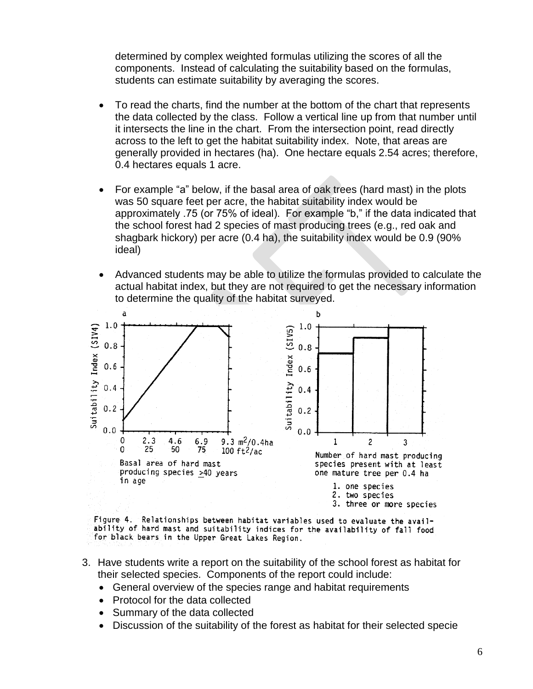determined by complex weighted formulas utilizing the scores of all the components. Instead of calculating the suitability based on the formulas, students can estimate suitability by averaging the scores.

- To read the charts, find the number at the bottom of the chart that represents the data collected by the class. Follow a vertical line up from that number until it intersects the line in the chart. From the intersection point, read directly across to the left to get the habitat suitability index. Note, that areas are generally provided in hectares (ha). One hectare equals 2.54 acres; therefore, 0.4 hectares equals 1 acre.
- For example "a" below, if the basal area of oak trees (hard mast) in the plots was 50 square feet per acre, the habitat suitability index would be approximately .75 (or 75% of ideal). For example "b," if the data indicated that the school forest had 2 species of mast producing trees (e.g., red oak and shagbark hickory) per acre (0.4 ha), the suitability index would be 0.9 (90% ideal)
- Advanced students may be able to utilize the formulas provided to calculate the actual habitat index, but they are not required to get the necessary information to determine the quality of the habitat surveyed.



Figure 4. Relationships between habitat variables used to evaluate the availability of hard mast and suitability indices for the availability of fall food for black bears in the Upper Great Lakes Region.

- 3. Have students write a report on the suitability of the school forest as habitat for their selected species. Components of the report could include:
	- General overview of the species range and habitat requirements
	- Protocol for the data collected
	- Summary of the data collected
	- Discussion of the suitability of the forest as habitat for their selected specie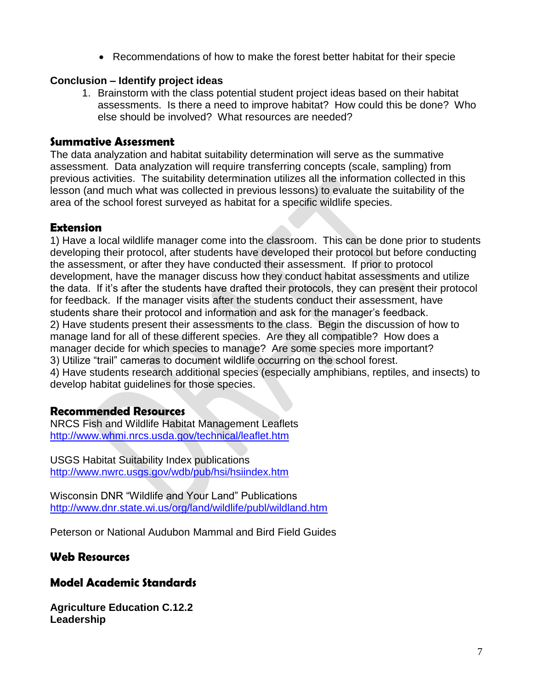Recommendations of how to make the forest better habitat for their specie

#### **Conclusion – Identify project ideas**

1. Brainstorm with the class potential student project ideas based on their habitat assessments. Is there a need to improve habitat? How could this be done? Who else should be involved? What resources are needed?

#### **Summative Assessment**

The data analyzation and habitat suitability determination will serve as the summative assessment. Data analyzation will require transferring concepts (scale, sampling) from previous activities. The suitability determination utilizes all the information collected in this lesson (and much what was collected in previous lessons) to evaluate the suitability of the area of the school forest surveyed as habitat for a specific wildlife species.

#### **Extension**

1) Have a local wildlife manager come into the classroom. This can be done prior to students developing their protocol, after students have developed their protocol but before conducting the assessment, or after they have conducted their assessment. If prior to protocol development, have the manager discuss how they conduct habitat assessments and utilize the data. If it's after the students have drafted their protocols, they can present their protocol for feedback. If the manager visits after the students conduct their assessment, have students share their protocol and information and ask for the manager's feedback. 2) Have students present their assessments to the class. Begin the discussion of how to manage land for all of these different species. Are they all compatible? How does a manager decide for which species to manage? Are some species more important? 3) Utilize "trail" cameras to document wildlife occurring on the school forest. 4) Have students research additional species (especially amphibians, reptiles, and insects) to develop habitat guidelines for those species.

#### **Recommended Resources**

NRCS Fish and Wildlife Habitat Management Leaflets <http://www.whmi.nrcs.usda.gov/technical/leaflet.htm>

USGS Habitat Suitability Index publications <http://www.nwrc.usgs.gov/wdb/pub/hsi/hsiindex.htm>

Wisconsin DNR "Wildlife and Your Land" Publications <http://www.dnr.state.wi.us/org/land/wildlife/publ/wildland.htm>

Peterson or National Audubon Mammal and Bird Field Guides

#### **Web Resources**

#### **Model Academic Standards**

**Agriculture Education C.12.2 Leadership**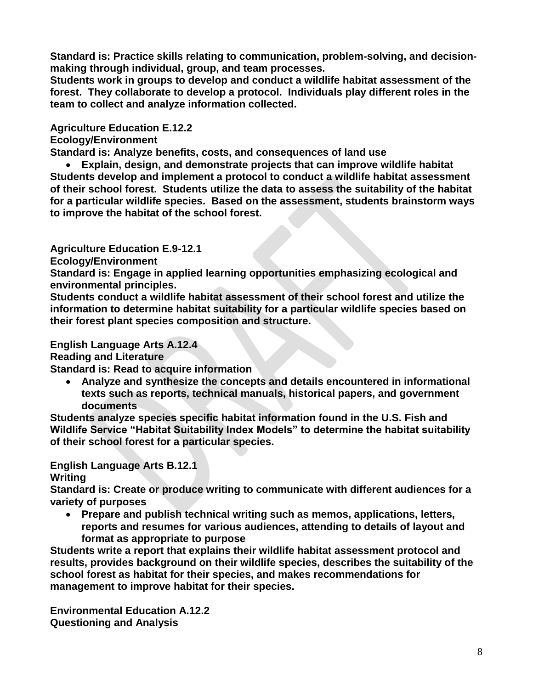**Standard is: Practice skills relating to communication, problem-solving, and decisionmaking through individual, group, and team processes.**

**Students work in groups to develop and conduct a wildlife habitat assessment of the forest. They collaborate to develop a protocol. Individuals play different roles in the team to collect and analyze information collected.**

#### **Agriculture Education E.12.2**

**Ecology/Environment**

**Standard is: Analyze benefits, costs, and consequences of land use**

 **Explain, design, and demonstrate projects that can improve wildlife habitat Students develop and implement a protocol to conduct a wildlife habitat assessment of their school forest. Students utilize the data to assess the suitability of the habitat for a particular wildlife species. Based on the assessment, students brainstorm ways to improve the habitat of the school forest.**

#### **Agriculture Education E.9-12.1**

**Ecology/Environment**

**Standard is: Engage in applied learning opportunities emphasizing ecological and environmental principles.**

**Students conduct a wildlife habitat assessment of their school forest and utilize the information to determine habitat suitability for a particular wildlife species based on their forest plant species composition and structure.**

#### **English Language Arts A.12.4**

**Reading and Literature**

**Standard is: Read to acquire information**

 **Analyze and synthesize the concepts and details encountered in informational texts such as reports, technical manuals, historical papers, and government documents**

**Students analyze species specific habitat information found in the U.S. Fish and Wildlife Service "Habitat Suitability Index Models" to determine the habitat suitability of their school forest for a particular species.**

**English Language Arts B.12.1**

**Writing**

**Standard is: Create or produce writing to communicate with different audiences for a variety of purposes**

 **Prepare and publish technical writing such as memos, applications, letters, reports and resumes for various audiences, attending to details of layout and format as appropriate to purpose**

**Students write a report that explains their wildlife habitat assessment protocol and results, provides background on their wildlife species, describes the suitability of the school forest as habitat for their species, and makes recommendations for management to improve habitat for their species.**

**Environmental Education A.12.2 Questioning and Analysis**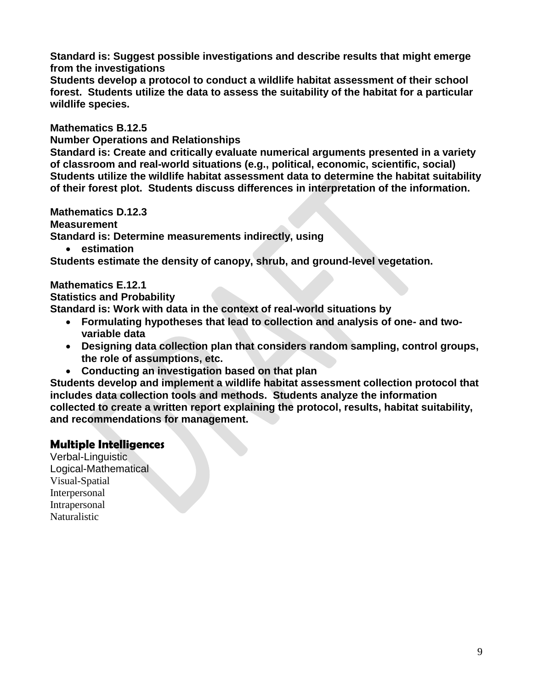**Standard is: Suggest possible investigations and describe results that might emerge from the investigations**

**Students develop a protocol to conduct a wildlife habitat assessment of their school forest. Students utilize the data to assess the suitability of the habitat for a particular wildlife species.**

**Mathematics B.12.5**

**Number Operations and Relationships**

**Standard is: Create and critically evaluate numerical arguments presented in a variety of classroom and real-world situations (e.g., political, economic, scientific, social) Students utilize the wildlife habitat assessment data to determine the habitat suitability of their forest plot. Students discuss differences in interpretation of the information.**

**Mathematics D.12.3 Measurement Standard is: Determine measurements indirectly, using**

**estimation**

**Students estimate the density of canopy, shrub, and ground-level vegetation.**

#### **Mathematics E.12.1**

**Statistics and Probability**

**Standard is: Work with data in the context of real-world situations by**

- **Formulating hypotheses that lead to collection and analysis of one- and twovariable data**
- **Designing data collection plan that considers random sampling, control groups, the role of assumptions, etc.**
- **Conducting an investigation based on that plan**

**Students develop and implement a wildlife habitat assessment collection protocol that includes data collection tools and methods. Students analyze the information collected to create a written report explaining the protocol, results, habitat suitability, and recommendations for management.**

## **Multiple Intelligences**

Verbal-Linguistic Logical-Mathematical Visual-Spatial Interpersonal Intrapersonal Naturalistic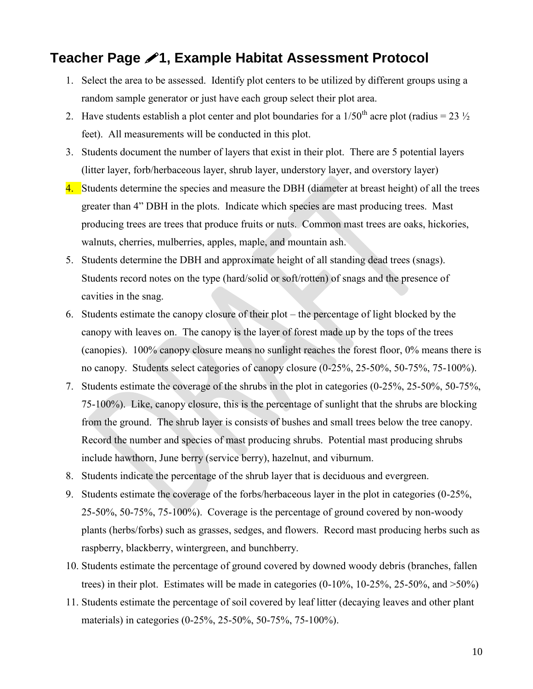## **Teacher Page 1, Example Habitat Assessment Protocol**

- 1. Select the area to be assessed. Identify plot centers to be utilized by different groups using a random sample generator or just have each group select their plot area.
- 2. Have students establish a plot center and plot boundaries for a  $1/50<sup>th</sup>$  acre plot (radius = 23  $\frac{1}{2}$ ) feet). All measurements will be conducted in this plot.
- 3. Students document the number of layers that exist in their plot. There are 5 potential layers (litter layer, forb/herbaceous layer, shrub layer, understory layer, and overstory layer)
- 4. Students determine the species and measure the DBH (diameter at breast height) of all the trees greater than 4" DBH in the plots. Indicate which species are mast producing trees. Mast producing trees are trees that produce fruits or nuts. Common mast trees are oaks, hickories, walnuts, cherries, mulberries, apples, maple, and mountain ash.
- 5. Students determine the DBH and approximate height of all standing dead trees (snags). Students record notes on the type (hard/solid or soft/rotten) of snags and the presence of cavities in the snag.
- 6. Students estimate the canopy closure of their plot the percentage of light blocked by the canopy with leaves on. The canopy is the layer of forest made up by the tops of the trees (canopies). 100% canopy closure means no sunlight reaches the forest floor, 0% means there is no canopy. Students select categories of canopy closure (0-25%, 25-50%, 50-75%, 75-100%).
- 7. Students estimate the coverage of the shrubs in the plot in categories (0-25%, 25-50%, 50-75%, 75-100%). Like, canopy closure, this is the percentage of sunlight that the shrubs are blocking from the ground. The shrub layer is consists of bushes and small trees below the tree canopy. Record the number and species of mast producing shrubs. Potential mast producing shrubs include hawthorn, June berry (service berry), hazelnut, and viburnum.
- 8. Students indicate the percentage of the shrub layer that is deciduous and evergreen.
- 9. Students estimate the coverage of the forbs/herbaceous layer in the plot in categories (0-25%, 25-50%, 50-75%, 75-100%). Coverage is the percentage of ground covered by non-woody plants (herbs/forbs) such as grasses, sedges, and flowers. Record mast producing herbs such as raspberry, blackberry, wintergreen, and bunchberry.
- 10. Students estimate the percentage of ground covered by downed woody debris (branches, fallen trees) in their plot. Estimates will be made in categories  $(0-10\%, 10-25\%, 25-50\%, \text{ and } >50\%)$
- 11. Students estimate the percentage of soil covered by leaf litter (decaying leaves and other plant materials) in categories (0-25%, 25-50%, 50-75%, 75-100%).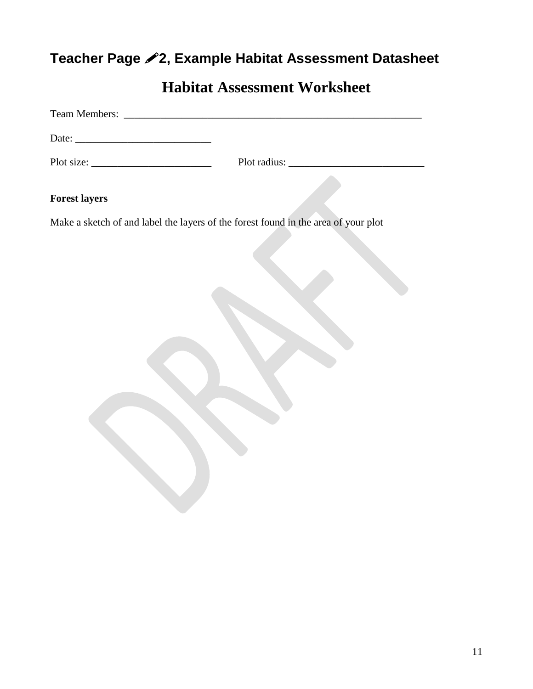## **Teacher Page 2, Example Habitat Assessment Datasheet**

## **Habitat Assessment Worksheet**

| Team Members:                                                                      |  |
|------------------------------------------------------------------------------------|--|
|                                                                                    |  |
| Plot size:                                                                         |  |
|                                                                                    |  |
| <b>Forest layers</b>                                                               |  |
| Make a sketch of and label the layers of the forest found in the area of your plot |  |
|                                                                                    |  |
|                                                                                    |  |
|                                                                                    |  |
|                                                                                    |  |
|                                                                                    |  |
|                                                                                    |  |
|                                                                                    |  |
|                                                                                    |  |
|                                                                                    |  |
|                                                                                    |  |
|                                                                                    |  |
|                                                                                    |  |
|                                                                                    |  |
|                                                                                    |  |
|                                                                                    |  |
|                                                                                    |  |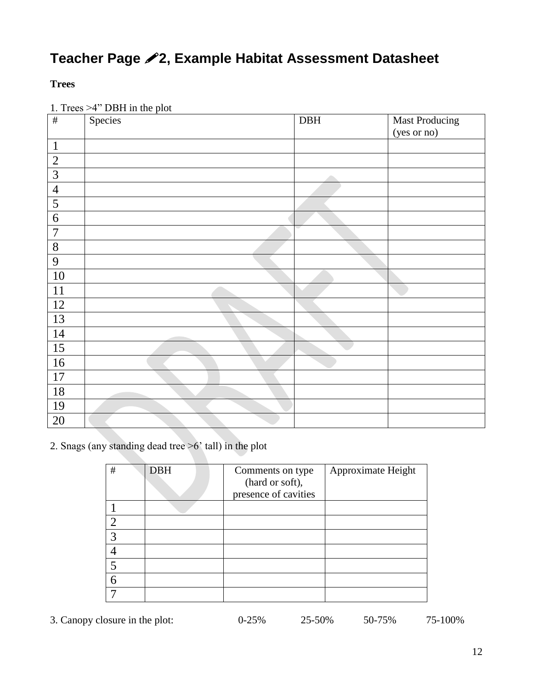## **Teacher Page 2, Example Habitat Assessment Datasheet**

#### **Trees**

1. Trees >4" DBH in the plot

| $\#$           | Species | $\rm DBH$ | <b>Mast Producing</b> |
|----------------|---------|-----------|-----------------------|
|                |         |           | (yes or no)           |
| $\mathbf{1}$   |         |           |                       |
| $\overline{2}$ |         |           |                       |
| $\mathfrak{Z}$ |         |           |                       |
| $\overline{4}$ |         |           |                       |
| $\overline{5}$ |         |           |                       |
| 6              |         |           |                       |
| $\overline{7}$ |         |           |                       |
| $8\,$          |         |           |                       |
| 9              |         |           |                       |
| 10             |         |           |                       |
| 11             |         |           |                       |
| 12             |         |           |                       |
| 13             |         |           |                       |
| 14             |         |           |                       |
| 15             |         |           |                       |
| 16             |         |           |                       |
| 17             |         |           |                       |
| 18             |         |           |                       |
| 19             |         |           |                       |
| 20             |         |           |                       |

2. Snags (any standing dead tree >6' tall) in the plot

| $\#$ | <b>DBH</b> | Comments on type<br>(hard or soft),<br>presence of cavities | Approximate Height |
|------|------------|-------------------------------------------------------------|--------------------|
|      |            |                                                             |                    |
| ⌒    |            |                                                             |                    |
| 2    |            |                                                             |                    |
|      |            |                                                             |                    |
| 5    |            |                                                             |                    |
| 6    |            |                                                             |                    |
|      |            |                                                             |                    |

3. Canopy closure in the plot: 0-25% 25-50% 50-75% 75-100%